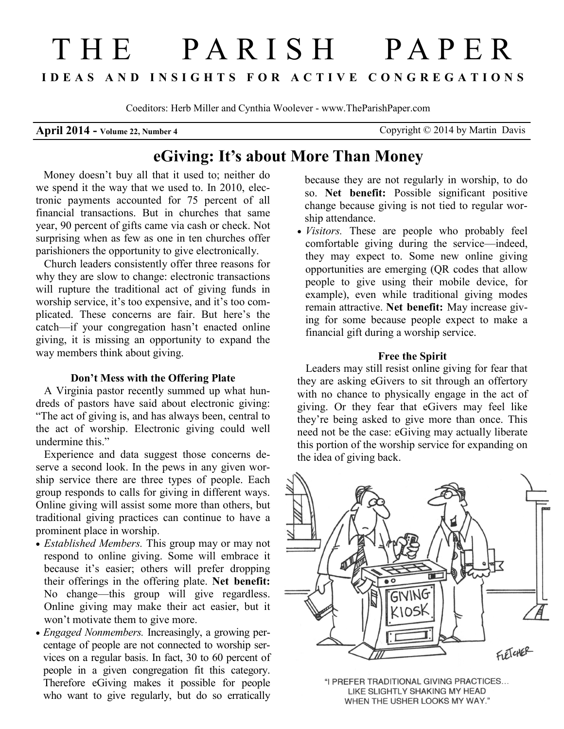# THE PARISH PAPER **I D E A S A N D I N S I G H T S F O R A C T I V E C O N G R E G A T I O N S**

Coeditors: Herb Miller and Cynthia Woolever - www.TheParishPaper.com

**April 2014 - Volume 22, Number 4** Copyright © 2014 by Martin Davis

## **eGiving: It's about More Than Money**

 Money doesn't buy all that it used to; neither do we spend it the way that we used to. In 2010, electronic payments accounted for 75 percent of all financial transactions. But in churches that same year, 90 percent of gifts came via cash or check. Not surprising when as few as one in ten churches offer parishioners the opportunity to give electronically.

Church leaders consistently offer three reasons for why they are slow to change: electronic transactions will rupture the traditional act of giving funds in worship service, it's too expensive, and it's too complicated. These concerns are fair. But here's the catch—if your congregation hasn't enacted online giving, it is missing an opportunity to expand the way members think about giving.

#### **Don't Mess with the Offering Plate**

 A Virginia pastor recently summed up what hundreds of pastors have said about electronic giving: "The act of giving is, and has always been, central to the act of worship. Electronic giving could well undermine this."

Experience and data suggest those concerns deserve a second look. In the pews in any given worship service there are three types of people. Each group responds to calls for giving in different ways. Online giving will assist some more than others, but traditional giving practices can continue to have a prominent place in worship.

- *Established Members.* This group may or may not respond to online giving. Some will embrace it because it's easier; others will prefer dropping their offerings in the offering plate. **Net benefit:**  No change—this group will give regardless. Online giving may make their act easier, but it won't motivate them to give more.
- *Engaged Nonmembers.* Increasingly, a growing percentage of people are not connected to worship services on a regular basis. In fact, 30 to 60 percent of people in a given congregation fit this category. Therefore eGiving makes it possible for people who want to give regularly, but do so erratically

because they are not regularly in worship, to do so. **Net benefit:** Possible significant positive change because giving is not tied to regular worship attendance.

 *Visitors.* These are people who probably feel comfortable giving during the service—indeed, they may expect to. Some new online giving opportunities are emerging (QR codes that allow people to give using their mobile device, for example), even while traditional giving modes remain attractive. **Net benefit:** May increase giving for some because people expect to make a financial gift during a worship service.

#### **Free the Spirit**

 Leaders may still resist online giving for fear that they are asking eGivers to sit through an offertory with no chance to physically engage in the act of giving. Or they fear that eGivers may feel like they're being asked to give more than once. This need not be the case: eGiving may actually liberate this portion of the worship service for expanding on the idea of giving back.



"I PREFER TRADITIONAL GIVING PRACTICES... LIKE SLIGHTLY SHAKING MY HEAD WHEN THE USHER LOOKS MY WAY."